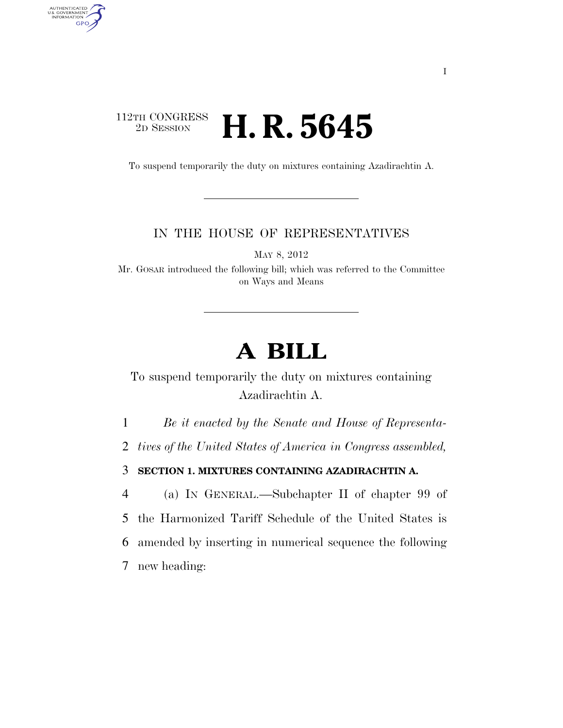## $\begin{array}{c} \textbf{112TH CONGRESS} \\ \textbf{2D} \textbf{Session} \end{array}$ 2D SESSION **H. R. 5645**

AUTHENTICATED<br>U.S. GOVERNMENT<br>INFORMATION GPO

To suspend temporarily the duty on mixtures containing Azadirachtin A.

## IN THE HOUSE OF REPRESENTATIVES

MAY 8, 2012

Mr. GOSAR introduced the following bill; which was referred to the Committee on Ways and Means

## **A BILL**

To suspend temporarily the duty on mixtures containing Azadirachtin A.

1 *Be it enacted by the Senate and House of Representa-*

2 *tives of the United States of America in Congress assembled,* 

3 **SECTION 1. MIXTURES CONTAINING AZADIRACHTIN A.** 

 (a) IN GENERAL.—Subchapter II of chapter 99 of the Harmonized Tariff Schedule of the United States is amended by inserting in numerical sequence the following new heading: